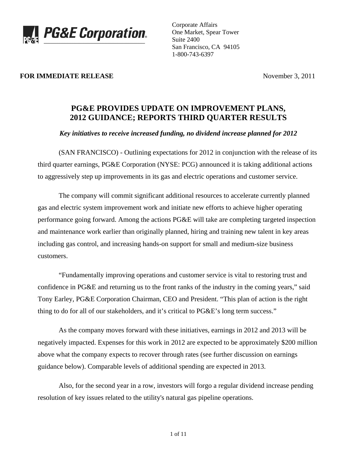

Corporate Affairs One Market, Spear Tower Suite 2400 San Francisco, CA 94105 1-800-743-6397

## **FOR IMMEDIATE RELEASE** November 3, 2011

# **PG&E PROVIDES UPDATE ON IMPROVEMENT PLANS, 2012 GUIDANCE; REPORTS THIRD QUARTER RESULTS**

## *Key initiatives to receive increased funding, no dividend increase planned for 2012*

 (SAN FRANCISCO) - Outlining expectations for 2012 in conjunction with the release of its third quarter earnings, PG&E Corporation (NYSE: PCG) announced it is taking additional actions to aggressively step up improvements in its gas and electric operations and customer service.

 The company will commit significant additional resources to accelerate currently planned gas and electric system improvement work and initiate new efforts to achieve higher operating performance going forward. Among the actions PG&E will take are completing targeted inspection and maintenance work earlier than originally planned, hiring and training new talent in key areas including gas control, and increasing hands-on support for small and medium-size business customers.

 "Fundamentally improving operations and customer service is vital to restoring trust and confidence in PG&E and returning us to the front ranks of the industry in the coming years," said Tony Earley, PG&E Corporation Chairman, CEO and President. "This plan of action is the right thing to do for all of our stakeholders, and it's critical to PG&E's long term success."

 As the company moves forward with these initiatives, earnings in 2012 and 2013 will be negatively impacted. Expenses for this work in 2012 are expected to be approximately \$200 million above what the company expects to recover through rates (see further discussion on earnings guidance below). Comparable levels of additional spending are expected in 2013.

 Also, for the second year in a row, investors will forgo a regular dividend increase pending resolution of key issues related to the utility's natural gas pipeline operations.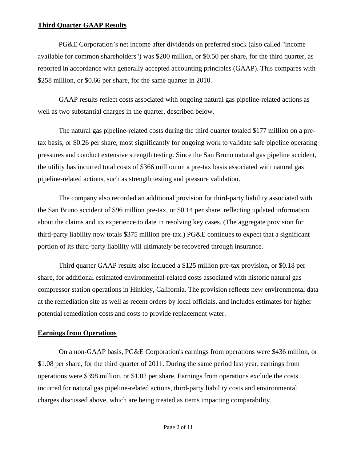# **Third Quarter GAAP Results**

 PG&E Corporation's net income after dividends on preferred stock (also called "income available for common shareholders") was \$200 million, or \$0.50 per share, for the third quarter, as reported in accordance with generally accepted accounting principles (GAAP). This compares with \$258 million, or \$0.66 per share, for the same quarter in 2010.

 GAAP results reflect costs associated with ongoing natural gas pipeline-related actions as well as two substantial charges in the quarter, described below.

 The natural gas pipeline-related costs during the third quarter totaled \$177 million on a pretax basis, or \$0.26 per share, most significantly for ongoing work to validate safe pipeline operating pressures and conduct extensive strength testing. Since the San Bruno natural gas pipeline accident, the utility has incurred total costs of \$366 million on a pre-tax basis associated with natural gas pipeline-related actions, such as strength testing and pressure validation.

 The company also recorded an additional provision for third-party liability associated with the San Bruno accident of \$96 million pre-tax, or \$0.14 per share, reflecting updated information about the claims and its experience to date in resolving key cases. (The aggregate provision for third-party liability now totals \$375 million pre-tax.) PG&E continues to expect that a significant portion of its third-party liability will ultimately be recovered through insurance.

 Third quarter GAAP results also included a \$125 million pre-tax provision, or \$0.18 per share, for additional estimated environmental-related costs associated with historic natural gas compressor station operations in Hinkley, California. The provision reflects new environmental data at the remediation site as well as recent orders by local officials, and includes estimates for higher potential remediation costs and costs to provide replacement water.

## **Earnings from Operations**

 On a non-GAAP basis, PG&E Corporation's earnings from operations were \$436 million, or \$1.08 per share, for the third quarter of 2011. During the same period last year, earnings from operations were \$398 million, or \$1.02 per share. Earnings from operations exclude the costs incurred for natural gas pipeline-related actions, third-party liability costs and environmental charges discussed above, which are being treated as items impacting comparability.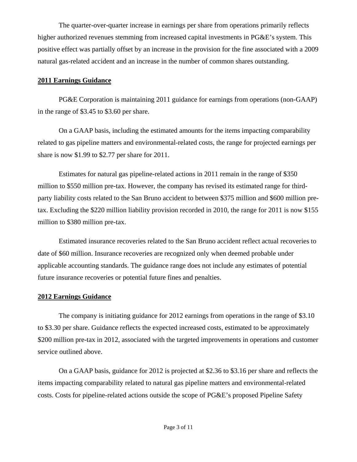The quarter-over-quarter increase in earnings per share from operations primarily reflects higher authorized revenues stemming from increased capital investments in PG&E's system. This positive effect was partially offset by an increase in the provision for the fine associated with a 2009 natural gas-related accident and an increase in the number of common shares outstanding.

# **2011 Earnings Guidance**

 PG&E Corporation is maintaining 2011 guidance for earnings from operations (non-GAAP) in the range of \$3.45 to \$3.60 per share.

 On a GAAP basis, including the estimated amounts for the items impacting comparability related to gas pipeline matters and environmental-related costs, the range for projected earnings per share is now \$1.99 to \$2.77 per share for 2011.

 Estimates for natural gas pipeline-related actions in 2011 remain in the range of \$350 million to \$550 million pre-tax. However, the company has revised its estimated range for thirdparty liability costs related to the San Bruno accident to between \$375 million and \$600 million pretax. Excluding the \$220 million liability provision recorded in 2010, the range for 2011 is now \$155 million to \$380 million pre-tax.

 Estimated insurance recoveries related to the San Bruno accident reflect actual recoveries to date of \$60 million. Insurance recoveries are recognized only when deemed probable under applicable accounting standards. The guidance range does not include any estimates of potential future insurance recoveries or potential future fines and penalties.

# **2012 Earnings Guidance**

 The company is initiating guidance for 2012 earnings from operations in the range of \$3.10 to \$3.30 per share. Guidance reflects the expected increased costs, estimated to be approximately \$200 million pre-tax in 2012, associated with the targeted improvements in operations and customer service outlined above.

 On a GAAP basis, guidance for 2012 is projected at \$2.36 to \$3.16 per share and reflects the items impacting comparability related to natural gas pipeline matters and environmental-related costs. Costs for pipeline-related actions outside the scope of PG&E's proposed Pipeline Safety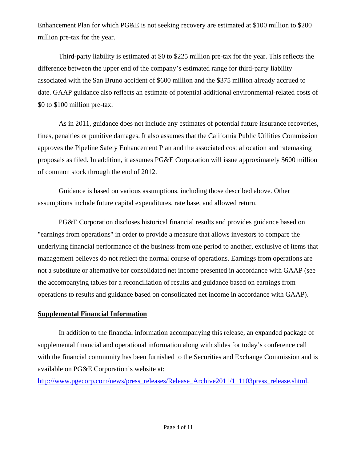Enhancement Plan for which PG&E is not seeking recovery are estimated at \$100 million to \$200 million pre-tax for the year.

 Third-party liability is estimated at \$0 to \$225 million pre-tax for the year. This reflects the difference between the upper end of the company's estimated range for third-party liability associated with the San Bruno accident of \$600 million and the \$375 million already accrued to date. GAAP guidance also reflects an estimate of potential additional environmental-related costs of \$0 to \$100 million pre-tax.

 As in 2011, guidance does not include any estimates of potential future insurance recoveries, fines, penalties or punitive damages. It also assumes that the California Public Utilities Commission approves the Pipeline Safety Enhancement Plan and the associated cost allocation and ratemaking proposals as filed. In addition, it assumes PG&E Corporation will issue approximately \$600 million of common stock through the end of 2012.

 Guidance is based on various assumptions, including those described above. Other assumptions include future capital expenditures, rate base, and allowed return.

 PG&E Corporation discloses historical financial results and provides guidance based on "earnings from operations" in order to provide a measure that allows investors to compare the underlying financial performance of the business from one period to another, exclusive of items that management believes do not reflect the normal course of operations. Earnings from operations are not a substitute or alternative for consolidated net income presented in accordance with GAAP (see the accompanying tables for a reconciliation of results and guidance based on earnings from operations to results and guidance based on consolidated net income in accordance with GAAP).

## **Supplemental Financial Information**

 In addition to the financial information accompanying this release, an expanded package of supplemental financial and operational information along with slides for today's conference call with the financial community has been furnished to the Securities and Exchange Commission and is available on PG&E Corporation's website at:

[http://www.pgecorp.com/news/press\\_releases/Release\\_Archive2011/111103press\\_release.shtml](http://www.pgecorp.com/news/press_releases/Release_Archive2011/111103press_release.shtml).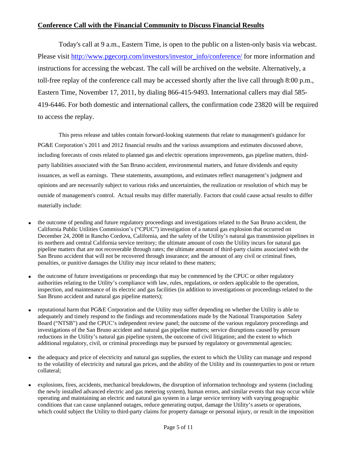# **Conference Call with the Financial Community to Discuss Financial Results**

 Today's call at 9 a.m., Eastern Time, is open to the public on a listen-only basis via webcast. Please visit [http://www.pgecorp.com/investors/investor\\_info/conference/](http://www.pgecorp.com/investors/investor_info/conference/) for more information and instructions for accessing the webcast. The call will be archived on the website. Alternatively, a toll-free replay of the conference call may be accessed shortly after the live call through 8:00 p.m., Eastern Time, November 17, 2011, by dialing 866-415-9493. International callers may dial 585- 419-6446. For both domestic and international callers, the confirmation code 23820 will be required to access the replay.

 This press release and tables contain forward-looking statements that relate to management's guidance for PG&E Corporation's 2011 and 2012 financial results and the various assumptions and estimates discussed above, including forecasts of costs related to planned gas and electric operations improvements, gas pipeline matters, thirdparty liabilities associated with the San Bruno accident, environmental matters, and future dividends and equity issuances, as well as earnings. These statements, assumptions, and estimates reflect management's judgment and opinions and are necessarily subject to various risks and uncertainties, the realization or resolution of which may be outside of management's control. Actual results may differ materially. Factors that could cause actual results to differ materially include:

- the outcome of pending and future regulatory proceedings and investigations related to the San Bruno accident, the California Public Utilities Commission's ("CPUC") investigation of a natural gas explosion that occurred on December 24, 2008 in Rancho Cordova, California, and the safety of the Utility's natural gas transmission pipelines in its northern and central California service territory; the ultimate amount of costs the Utility incurs for natural gas pipeline matters that are not recoverable through rates; the ultimate amount of third-party claims associated with the San Bruno accident that will not be recovered through insurance; and the amount of any civil or criminal fines, penalties, or punitive damages the Utility may incur related to these matters;
- the outcome of future investigations or proceedings that may be commenced by the CPUC or other regulatory authorities relating to the Utility's compliance with law, rules, regulations, or orders applicable to the operation, inspection, and maintenance of its electric and gas facilities (in addition to investigations or proceedings related to the San Bruno accident and natural gas pipeline matters);
- reputational harm that PG&E Corporation and the Utility may suffer depending on whether the Utility is able to adequately and timely respond to the findings and recommendations made by the National Transportation Safety Board ("NTSB") and the CPUC's independent review panel; the outcome of the various regulatory proceedings and investigations of the San Bruno accident and natural gas pipeline matters; service disruptions caused by pressure reductions in the Utility's natural gas pipeline system, the outcome of civil litigation; and the extent to which additional regulatory, civil, or criminal proceedings may be pursued by regulatory or governmental agencies;
- the adequacy and price of electricity and natural gas supplies, the extent to which the Utility can manage and respond to the volatility of electricity and natural gas prices, and the ability of the Utility and its counterparties to post or return collateral;
- explosions, fires, accidents, mechanical breakdowns, the disruption of information technology and systems (including the newly installed advanced electric and gas metering system), human errors, and similar events that may occur while operating and maintaining an electric and natural gas system in a large service territory with varying geographic conditions that can cause unplanned outages, reduce generating output, damage the Utility's assets or operations, which could subject the Utility to third-party claims for property damage or personal injury, or result in the imposition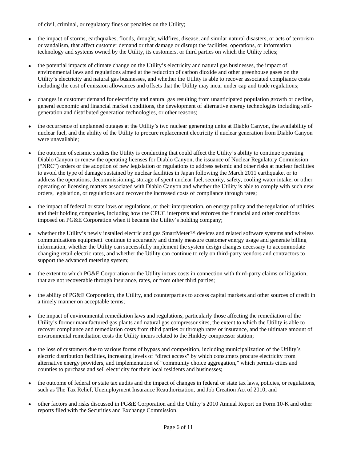of civil, criminal, or regulatory fines or penalties on the Utility;

- the impact of storms, earthquakes, floods, drought, wildfires, disease, and similar natural disasters, or acts of terrorism or vandalism, that affect customer demand or that damage or disrupt the facilities, operations, or information technology and systems owned by the Utility, its customers, or third parties on which the Utility relies;
- the potential impacts of climate change on the Utility's electricity and natural gas businesses, the impact of environmental laws and regulations aimed at the reduction of carbon dioxide and other greenhouse gases on the Utility's electricity and natural gas businesses, and whether the Utility is able to recover associated compliance costs including the cost of emission allowances and offsets that the Utility may incur under cap and trade regulations;
- changes in customer demand for electricity and natural gas resulting from unanticipated population growth or decline, general economic and financial market conditions, the development of alternative energy technologies including selfgeneration and distributed generation technologies, or other reasons;
- the occurrence of unplanned outages at the Utility's two nuclear generating units at Diablo Canyon, the availability of nuclear fuel, and the ability of the Utility to procure replacement electricity if nuclear generation from Diablo Canyon were unavailable;
- the outcome of seismic studies the Utility is conducting that could affect the Utility's ability to continue operating Diablo Canyon or renew the operating licenses for Diablo Canyon, the issuance of Nuclear Regulatory Commission ("NRC") orders or the adoption of new legislation or regulations to address seismic and other risks at nuclear facilities to avoid the type of damage sustained by nuclear facilities in Japan following the March 2011 earthquake, or to address the operations, decommissioning, storage of spent nuclear fuel, security, safety, cooling water intake, or other operating or licensing matters associated with Diablo Canyon and whether the Utility is able to comply with such new orders, legislation, or regulations and recover the increased costs of compliance through rates;
- the impact of federal or state laws or regulations, or their interpretation, on energy policy and the regulation of utilities and their holding companies, including how the CPUC interprets and enforces the financial and other conditions imposed on PG&E Corporation when it became the Utility's holding company;
- whether the Utility's newly installed electric and gas SmartMeter™ devices and related software systems and wireless communications equipment continue to accurately and timely measure customer energy usage and generate billing information, whether the Utility can successfully implement the system design changes necessary to accommodate changing retail electric rates, and whether the Utility can continue to rely on third-party vendors and contractors to support the advanced metering system;
- the extent to which PG&E Corporation or the Utility incurs costs in connection with third-party claims or litigation, that are not recoverable through insurance, rates, or from other third parties;
- the ability of PG&E Corporation, the Utility, and counterparties to access capital markets and other sources of credit in a timely manner on acceptable terms;
- the impact of environmental remediation laws and regulations, particularly those affecting the remediation of the Utility's former manufactured gas plants and natural gas compressor sites, the extent to which the Utility is able to recover compliance and remediation costs from third parties or through rates or insurance, and the ultimate amount of environmental remediation costs the Utility incurs related to the Hinkley compressor station;
- the loss of customers due to various forms of bypass and competition, including municipalization of the Utility's electric distribution facilities, increasing levels of "direct access" by which consumers procure electricity from alternative energy providers, and implementation of "community choice aggregation," which permits cities and counties to purchase and sell electricity for their local residents and businesses;
- the outcome of federal or state tax audits and the impact of changes in federal or state tax laws, policies, or regulations, such as The Tax Relief, Unemployment Insurance Reauthorization, and Job Creation Act of 2010; and
- other factors and risks discussed in PG&E Corporation and the Utility's 2010 Annual Report on Form 10-K and other reports filed with the Securities and Exchange Commission.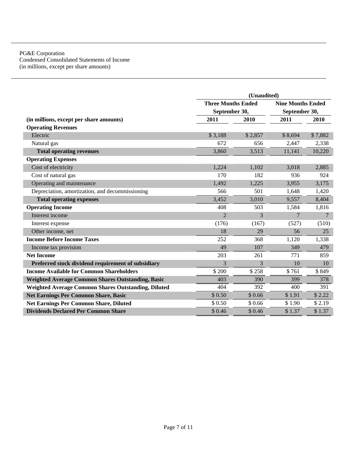#### PG&E Corporation Condensed Consolidated Statements of Income (in millions, except per share amounts)

|                                                            | (Unaudited)               |                          |                |                 |
|------------------------------------------------------------|---------------------------|--------------------------|----------------|-----------------|
|                                                            | <b>Three Months Ended</b> | <b>Nine Months Ended</b> |                |                 |
|                                                            | September 30,             |                          | September 30,  |                 |
| (in millions, except per share amounts)                    | 2011                      | 2010                     | 2011           | 2010            |
| <b>Operating Revenues</b>                                  |                           |                          |                |                 |
| Electric                                                   | \$3,188                   | \$2,857                  | \$8,694        | \$7,882         |
| Natural gas                                                | 672                       | 656                      | 2,447          | 2,338           |
| <b>Total operating revenues</b>                            | 3,860                     | 3,513                    | 11,141         | 10,220          |
| <b>Operating Expenses</b>                                  |                           |                          |                |                 |
| Cost of electricity                                        | 1,224                     | 1,102                    | 3,018          | 2,885           |
| Cost of natural gas                                        | 170                       | 182                      | 936            | 924             |
| Operating and maintenance                                  | 1,492                     | 1,225                    | 3,955          | 3,175           |
| Depreciation, amortization, and decommissioning            | 566                       | 501                      | 1,648          | 1,420           |
| <b>Total operating expenses</b>                            | 3,452                     | 3,010                    | 9,557          | 8,404           |
| <b>Operating Income</b>                                    | 408                       | 503                      | 1,584          | 1,816           |
| Interest income                                            | $\overline{2}$            | 3                        | $\overline{7}$ | $7\phantom{.0}$ |
| Interest expense                                           | (176)                     | (167)                    | (527)          | (510)           |
| Other income, net                                          | 18                        | 29                       | 56             | 25              |
| <b>Income Before Income Taxes</b>                          | 252                       | 368                      | 1,120          | 1,338           |
| Income tax provision                                       | 49                        | 107                      | 349            | 479             |
| <b>Net Income</b>                                          | 203                       | 261                      | 771            | 859             |
| Preferred stock dividend requirement of subsidiary         | 3                         | 3                        | 10             | 10              |
| <b>Income Available for Common Shareholders</b>            | \$200                     | \$258                    | \$761          | \$849           |
| <b>Weighted Average Common Shares Outstanding, Basic</b>   | 403                       | 390                      | 399            | 378             |
| <b>Weighted Average Common Shares Outstanding, Diluted</b> | 404                       | 392                      | 400            | 391             |
| <b>Net Earnings Per Common Share, Basic</b>                | \$0.50                    | \$0.66                   | \$1.91         | \$2.22          |
| Net Earnings Per Common Share, Diluted                     | \$0.50                    | \$0.66                   | \$1.90         | \$2.19          |
| <b>Dividends Declared Per Common Share</b>                 | \$0.46                    | \$0.46                   | \$1.37         | \$1.37          |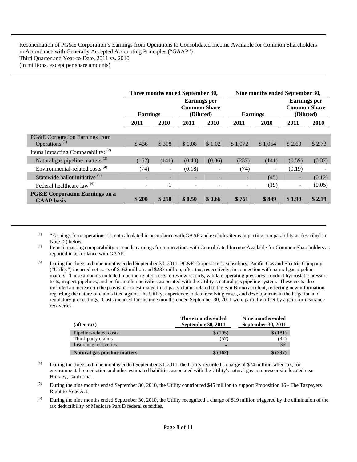Reconciliation of PG&E Corporation's Earnings from Operations to Consolidated Income Available for Common Shareholders in Accordance with Generally Accepted Accounting Principles ("GAAP") Third Quarter and Year-to-Date, 2011 vs. 2010 (in millions, except per share amounts)

|                                                                          | Three months ended September 30, |       |                                                         | Nine months ended September 30, |                          |         |                                                         |        |
|--------------------------------------------------------------------------|----------------------------------|-------|---------------------------------------------------------|---------------------------------|--------------------------|---------|---------------------------------------------------------|--------|
|                                                                          | <b>Earnings</b>                  |       | <b>Earnings</b> per<br><b>Common Share</b><br>(Diluted) |                                 | <b>Earnings</b>          |         | <b>Earnings per</b><br><b>Common Share</b><br>(Diluted) |        |
|                                                                          | 2011                             | 2010  | 2011                                                    | 2010                            | 2011                     | 2010    | 2011                                                    | 2010   |
| PG&E Corporation Earnings from<br>Operations <sup><math>(1)</math></sup> | \$436                            | \$398 | \$1.08                                                  | \$1.02                          | \$1,072                  | \$1,054 | \$2.68                                                  | \$2.73 |
| Items Impacting Comparability: (2)                                       |                                  |       |                                                         |                                 |                          |         |                                                         |        |
| Natural gas pipeline matters <sup>(3)</sup>                              | (162)                            | (141) | (0.40)                                                  | (0.36)                          | (237)                    | (141)   | (0.59)                                                  | (0.37) |
| Environmental-related costs <sup>(4)</sup>                               | (74)                             |       | (0.18)                                                  |                                 | (74)                     | -       | (0.19)                                                  |        |
| Statewide ballot initiative <sup>(5)</sup>                               | ۰.                               |       | -                                                       |                                 | $\overline{\phantom{a}}$ | (45)    | $\overline{\phantom{a}}$                                | (0.12) |
| Federal healthcare law <sup>(6)</sup>                                    | ۰                                |       | ۰                                                       |                                 |                          | (19)    | $\overline{\phantom{a}}$                                | (0.05) |
| <b>PG&amp;E Corporation Earnings on a</b><br><b>GAAP</b> basis           | \$200                            | \$258 | \$0.50                                                  | \$0.66                          | \$761                    | \$849   | \$1.90                                                  | \$2.19 |

 $(1)$  "Earnings from operations" is not calculated in accordance with GAAP and excludes items impacting comparability as described in Note (2) below.

<sup>(2)</sup> Items impacting comparability reconcile earnings from operations with Consolidated Income Available for Common Shareholders as reported in accordance with GAAP.

(3) During the three and nine months ended September 30, 2011, PG&E Corporation's subsidiary, Pacific Gas and Electric Company ("Utility") incurred net costs of \$162 million and \$237 million, after-tax, respectively, in connection with natural gas pipeline matters. These amounts included pipeline-related costs to review records, validate operating pressures, conduct hydrostatic pressure tests, inspect pipelines, and perform other activities associated with the Utility's natural gas pipeline system. These costs also included an increase in the provision for estimated third-party claims related to the San Bruno accident, reflecting new information regarding the nature of claims filed against the Utility, experience to date resolving cases, and developments in the litigation and regulatory proceedings. Costs incurred for the nine months ended September 30, 2011 were partially offset by a gain for insurance recoveries.

| $(after-tax)$                | Three months ended<br>September 30, 2011 | Nine months ended<br><b>September 30, 2011</b> |
|------------------------------|------------------------------------------|------------------------------------------------|
| Pipeline-related costs       | \$(105)                                  | \$(181)                                        |
| Third-party claims           | (57)                                     | (92)                                           |
| Insurance recoveries         |                                          | 36                                             |
| Natural gas pipeline matters | \$ (162)                                 | \$ (237)                                       |

- (4) During the three and nine months ended September 30, 2011, the Utility recorded a charge of \$74 million, after-tax, for environmental remediation and other estimated liabilities associated with the Utility's natural gas compressor site located near Hinkley, California.
- (5) During the nine months ended September 30, 2010, the Utility contributed \$45 million to support Proposition 16 The Taxpayers Right to Vote Act.
- $^{(6)}$  During the nine months ended September 30, 2010, the Utility recognized a charge of \$19 million triggered by the elimination of the tax deductibility of Medicare Part D federal subsidies.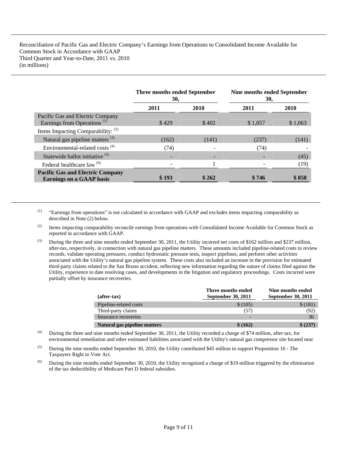Reconciliation of Pacific Gas and Electric Company's Earnings from Operations to Consolidated Income Available for Common Stock in Accordance with GAAP Third Quarter and Year-to-Date, 2011 vs. 2010 (in millions)

|                                                                             | Three months ended September<br>30, |       | <b>Nine months ended September</b><br>30, |         |
|-----------------------------------------------------------------------------|-------------------------------------|-------|-------------------------------------------|---------|
|                                                                             | 2011                                | 2010  | 2011                                      | 2010    |
| Pacific Gas and Electric Company<br>Earnings from Operations <sup>(1)</sup> | \$429                               | \$402 | \$1,057                                   | \$1,063 |
| Items Impacting Comparability: (2)                                          |                                     |       |                                           |         |
| Natural gas pipeline matters <sup>(3)</sup>                                 | (162)                               | (141) | (237)                                     | (141)   |
| Environmental-related costs <sup>(4)</sup>                                  | (74)                                |       | (74)                                      |         |
| Statewide ballot initiative <sup>(5)</sup>                                  |                                     |       |                                           | (45)    |
| Federal healthcare law <sup>(6)</sup>                                       |                                     |       |                                           | (19)    |
| <b>Pacific Gas and Electric Company</b><br><b>Earnings on a GAAP basis</b>  | \$193                               | \$262 | \$746                                     | \$858   |

(1) "Earnings from operations" is not calculated in accordance with GAAP and excludes items impacting comparability as described in Note (2) below.

- <sup>(2)</sup> Items impacting comparability reconcile earnings from operations with Consolidated Income Available for Common Stock as reported in accordance with GAAP.
- (3) During the three and nine months ended September 30, 2011, the Utility incurred net costs of \$162 million and \$237 million, after-tax, respectively, in connection with natural gas pipeline matters. These amounts included pipeline-related costs to review records, validate operating pressures, conduct hydrostatic pressure tests, inspect pipelines, and perform other activities associated with the Utility's natural gas pipeline system. These costs also included an increase in the provision for estimated third-party claims related to the San Bruno accident, reflecting new information regarding the nature of claims filed against the Utility, experience to date resolving cases, and developments in the litigation and regulatory proceedings. Costs incurred were partially offset by insurance recoveries.

| (after-tax)                  | Three months ended<br><b>September 30, 2011</b> | Nine months ended<br>September 30, 2011 |
|------------------------------|-------------------------------------------------|-----------------------------------------|
| Pipeline-related costs       | \$(105)                                         | \$(181)                                 |
| Third-party claims           | (57)                                            | (92)                                    |
| Insurance recoveries         |                                                 | 36                                      |
| Natural gas pipeline matters | \$ (162)                                        | \$ (237)                                |

- (4) During the three and nine months ended September 30, 2011, the Utility recorded a charge of \$74 million, after-tax, for environmental remediation and other estimated liabilities associated with the Utility's natural gas compressor site located near
- $(5)$  During the nine months ended September 30, 2010, the Utility contributed \$45 million to support Proposition 16 The Taxpayers Right to Vote Act.
- $^{(6)}$  During the nine months ended September 30, 2010, the Utility recognized a charge of \$19 million triggered by the elimination of the tax deductibility of Medicare Part D federal subsidies.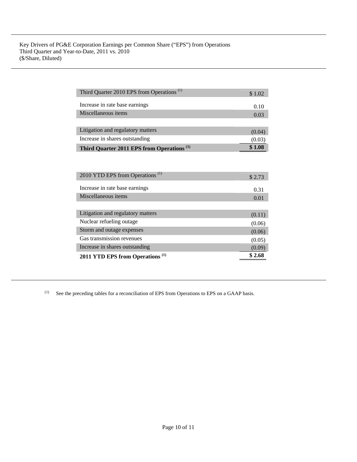| Third Quarter 2010 EPS from Operations <sup>(1)</sup> | \$1.02 |
|-------------------------------------------------------|--------|
| Increase in rate base earnings                        | 0.10   |
| Miscellaneous items                                   | 0.03   |
|                                                       |        |
| Litigation and regulatory matters                     | (0.04) |
| Increase in shares outstanding                        | (0.03) |
| Third Quarter 2011 EPS from Operations <sup>(1)</sup> | \$1.08 |
|                                                       |        |
|                                                       |        |
| 2010 YTD EPS from Operations <sup>(1)</sup>           | \$2.73 |
| Increase in rate base earnings                        | 0.31   |
| Miscellaneous items                                   | 0.01   |
|                                                       |        |
| Litigation and regulatory matters                     | (0.11) |
| Nuclear refueling outage                              | (0.06) |
| Storm and outage expenses                             | (0.06) |
| Gas transmission revenues                             | (0.05) |
| Increase in shares outstanding                        | (0.09) |
| 2011 YTD EPS from Operations <sup>(1)</sup>           | \$2.68 |

(1) See the preceding tables for a reconciliation of EPS from Operations to EPS on a GAAP basis.